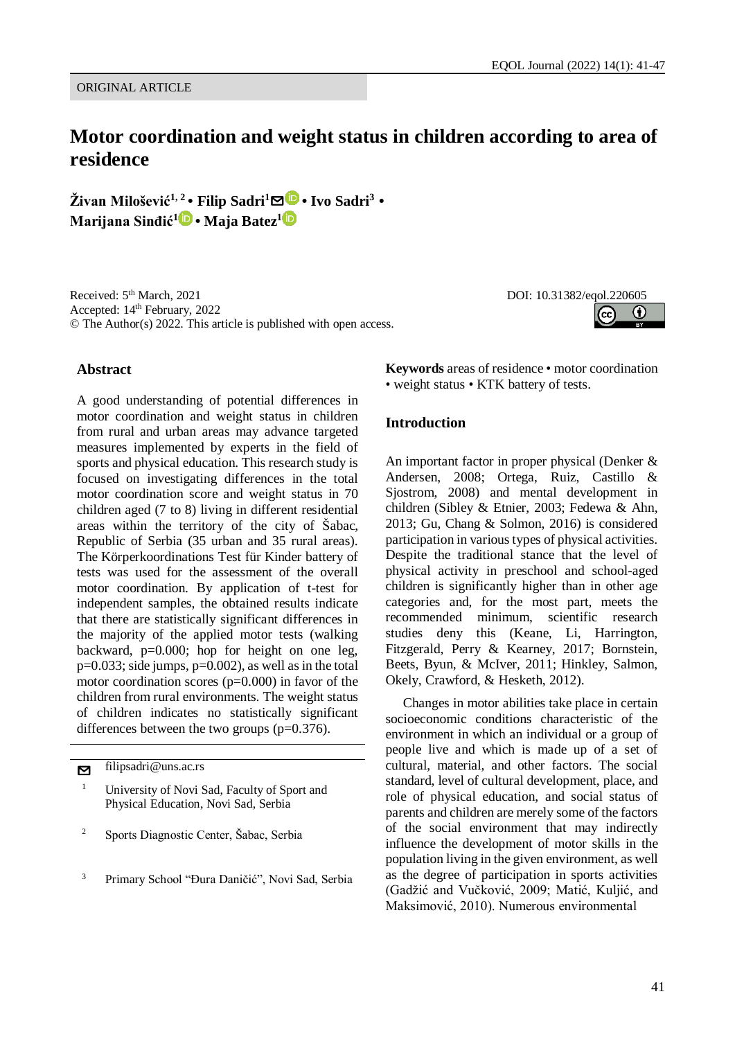ORIGINAL ARTICLE

# **Motor coordination and weight status in children according to area of residence**

**Živan Milošević1, 2 • Filip Sadri<sup>1</sup>**[✉](mailto:filipsadri@uns.ac.rs?subject=EQOL%20Journal) **• Ivo Sadri<sup>3</sup> • Marijana Sinđić[1](https://orcid.org/0000-0001-7886-3605) • Maja Batez<sup>1</sup>**

Received: 5<sup>th</sup> March, 2021 Accepted: 14th February, 2022 © The Author(s) 2022. This article is published with open access.

## **Abstract**

A good understanding of potential differences in motor coordination and weight status in children from rural and urban areas may advance targeted measures implemented by experts in the field of sports and physical education. This research study is focused on investigating differences in the total motor coordination score and weight status in 70 children aged (7 to 8) living in different residential areas within the territory of the city of Šabac, Republic of Serbia (35 urban and 35 rural areas). The Körperkoordinations Test für Kinder battery of tests was used for the assessment of the overall motor coordination. By application of t-test for independent samples, the obtained results indicate that there are statistically significant differences in the majority of the applied motor tests (walking backward, p=0.000; hop for height on one leg,  $p=0.033$ ; side jumps,  $p=0.002$ ), as well as in the total motor coordination scores (p=0.000) in favor of the children from rural environments. The weight status of children indicates no statistically significant differences between the two groups (p=0.376).

[✉](mailto:filipsadri@uns.ac.rs?subject=EQOL%20Journal) filipsadri@uns.ac.rs

- <sup>2</sup> Sports Diagnostic Center, Šabac, Serbia
- <sup>3</sup> Primary School "Đura Daničić", Novi Sad, Serbia

**Keywords** areas of residence • motor coordination • weight status • KTK battery of tests.

## **Introduction**

An important factor in proper physical (Denker & Andersen, 2008; Ortega, Ruiz, Castillo & Sjostrom, 2008) and mental development in children (Sibley & Etnier, 2003; Fedewa & Ahn, 2013; Gu, Chang & Solmon, 2016) is considered participation in various types of physical activities. Despite the traditional stance that the level of physical activity in preschool and school-aged children is significantly higher than in other age categories and, for the most part, meets the recommended minimum, scientific research studies deny this (Keane, Li, Harrington, Fitzgerald, Perry & Kearney, 2017; Bornstein, Beets, Byun, & McIver, 2011; Hinkley, Salmon, Okely, Crawford, & Hesketh, 2012).

Changes in motor abilities take place in certain socioeconomic conditions characteristic of the environment in which an individual or a group of people live and which is made up of a set of cultural, material, and other factors. The social standard, level of cultural development, place, and role of physical education, and social status of parents and children are merely some of the factors of the social environment that may indirectly influence the development of motor skills in the population living in the given environment, as well as the degree of participation in sports activities (Gadžić and Vučković, 2009; Matić, Kuljić, and Maksimović, 2010). Numerous environmental



<sup>1</sup> University of Novi Sad, Faculty of Sport and Physical Education, Novi Sad, Serbia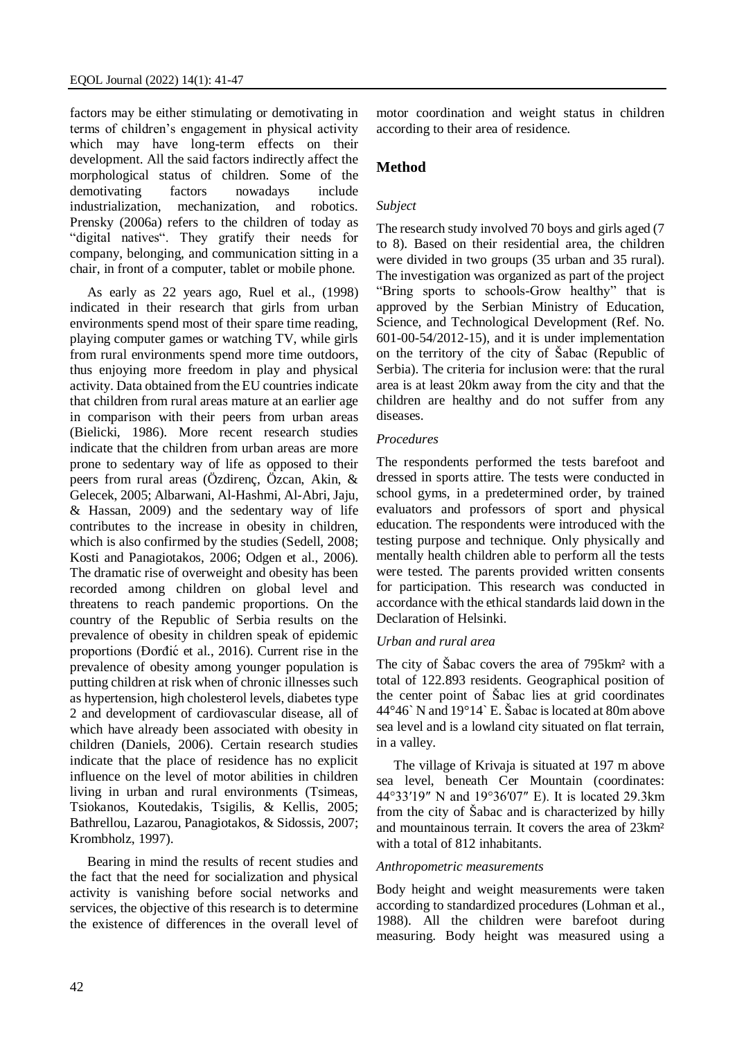factors may be either stimulating or demotivating in terms of children's engagement in physical activity which may have long-term effects on their development. All the said factors indirectly affect the morphological status of children. Some of the demotivating factors nowadays include industrialization, mechanization, and robotics. Prensky (2006a) refers to the children of today as "digital natives". They gratify their needs for company, belonging, and communication sitting in a chair, in front of a computer, tablet or mobile phone.

As early as 22 years ago, Ruel et al., (1998) indicated in their research that girls from urban environments spend most of their spare time reading, playing computer games or watching TV, while girls from rural environments spend more time outdoors, thus enjoying more freedom in play and physical activity. Data obtained from the EU countries indicate that children from rural areas mature at an earlier age in comparison with their peers from urban areas (Bielicki, 1986). More recent research studies indicate that the children from urban areas are more prone to sedentary way of life as opposed to their peers from rural areas (Özdirenç, Özcan, Akin, & Gelecek, 2005; Albarwani, Al-Hashmi, Al-Abri, Jaju, & Hassan, 2009) and the sedentary way of life contributes to the increase in obesity in children, which is also confirmed by the studies (Sedell, 2008; Kosti and Panagiotakos, 2006; Odgen et al., 2006). The dramatic rise of overweight and obesity has been recorded among children on global level and threatens to reach pandemic proportions. On the country of the Republic of Serbia results on the prevalence of obesity in children speak of epidemic proportions (Đorđić et al., 2016). Current rise in the prevalence of obesity among younger population is putting children at risk when of chronic illnesses such as hypertension, high cholesterol levels, diabetes type 2 and development of cardiovascular disease, all of which have already been associated with obesity in children (Daniels, 2006). Certain research studies indicate that the place of residence has no explicit influence on the level of motor abilities in children living in urban and rural environments (Tsimeas, Tsiokanos, Koutedakis, Tsigilis, & Kellis, 2005; Bathrellou, Lazarou, Panagiotakos, & Sidossis, 2007; Krombholz, 1997).

Bearing in mind the results of recent studies and the fact that the need for socialization and physical activity is vanishing before social networks and services, the objective of this research is to determine the existence of differences in the overall level of motor coordination and weight status in children according to their area of residence.

# **Method**

# *Subject*

The research study involved 70 boys and girls aged (7 to 8). Based on their residential area, the children were divided in two groups (35 urban and 35 rural). The investigation was organized as part of the project "Bring sports to schools-Grow healthy" that is approved by the Serbian Ministry of Education, Science, and Technological Development (Ref. No. 601-00-54/2012-15), and it is under implementation on the territory of the city of Šabac (Republic of Serbia). The criteria for inclusion were: that the rural area is at least 20km away from the city and that the children are healthy and do not suffer from any diseases.

## *Procedures*

The respondents performed the tests barefoot and dressed in sports attire. The tests were conducted in school gyms, in a predetermined order, by trained evaluators and professors of sport and physical education. The respondents were introduced with the testing purpose and technique. Only physically and mentally health children able to perform all the tests were tested. The parents provided written consents for participation. This research was conducted in accordance with the ethical standards laid down in the Declaration of Helsinki.

## *Urban and rural area*

The city of Šabac covers the area of 795km² with a total of 122.893 residents. Geographical position of the center point of Šabac lies at grid coordinates 44°46` N and 19°14` E. Šabac is located at 80m above sea level and is a lowland city situated on flat terrain, in a valley.

The village of Krivaja is situated at 197 m above sea level, beneath Cer Mountain (coordinates: 44°33′19″ N and 19°36′07″ E). It is located 29.3km from the city of Šabac and is characterized by hilly and mountainous terrain. It covers the area of 23km² with a total of 812 inhabitants.

#### *Anthropometric measurements*

Body height and weight measurements were taken according to standardized procedures (Lohman et al., 1988). All the children were barefoot during measuring. Body height was measured using a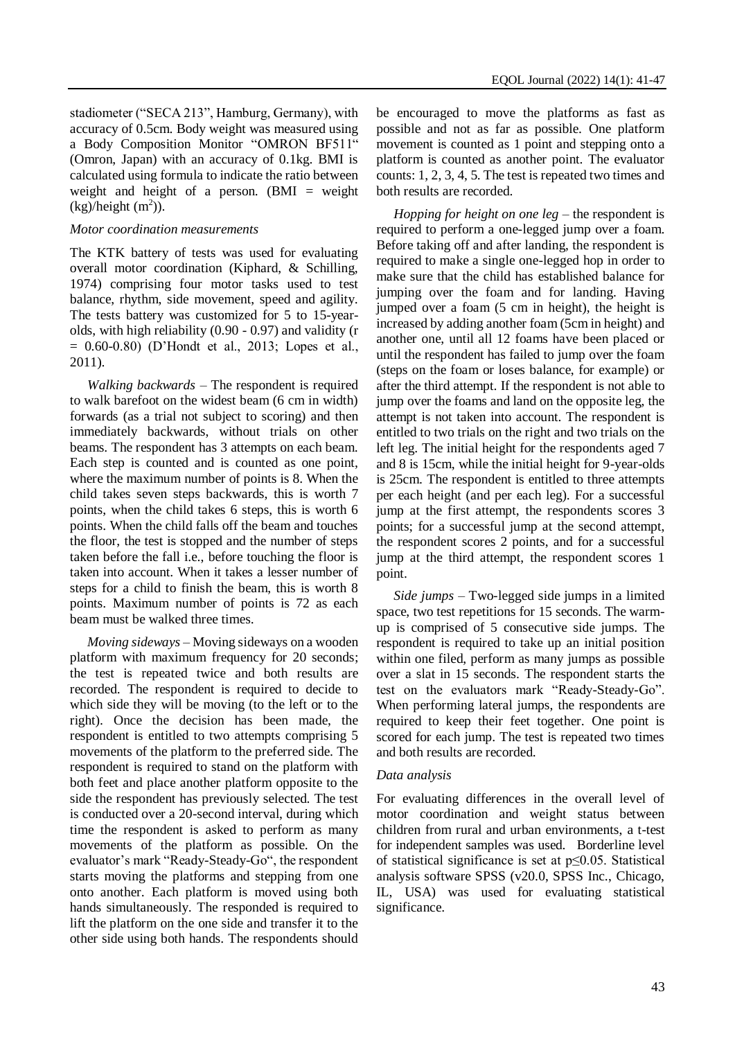stadiometer ("SECA 213", Hamburg, Germany), with accuracy of 0.5cm. Body weight was measured using a Body Composition Monitor "OMRON BF511" (Omron, Japan) with an accuracy of 0.1kg. BMI is calculated using formula to indicate the ratio between weight and height of a person.  $(BMI = weight$  $(kg)/height (m<sup>2</sup>)).$ 

#### *Motor coordination measurements*

The KTK battery of tests was used for evaluating overall motor coordination (Kiphard, & Schilling, 1974) comprising four motor tasks used to test balance, rhythm, side movement, speed and agility. The tests battery was customized for 5 to 15-yearolds, with high reliability (0.90 - 0.97) and validity (r = 0.60-0.80) (D'Hondt et al., 2013; Lopes et al., 2011).

*Walking backwards* – The respondent is required to walk barefoot on the widest beam (6 cm in width) forwards (as a trial not subject to scoring) and then immediately backwards, without trials on other beams. The respondent has 3 attempts on each beam. Each step is counted and is counted as one point, where the maximum number of points is 8. When the child takes seven steps backwards, this is worth 7 points, when the child takes 6 steps, this is worth 6 points. When the child falls off the beam and touches the floor, the test is stopped and the number of steps taken before the fall i.e., before touching the floor is taken into account. When it takes a lesser number of steps for a child to finish the beam, this is worth 8 points. Maximum number of points is 72 as each beam must be walked three times.

*Moving sideways* – Moving sideways on a wooden platform with maximum frequency for 20 seconds; the test is repeated twice and both results are recorded. The respondent is required to decide to which side they will be moving (to the left or to the right). Once the decision has been made, the respondent is entitled to two attempts comprising 5 movements of the platform to the preferred side. The respondent is required to stand on the platform with both feet and place another platform opposite to the side the respondent has previously selected. The test is conducted over a 20-second interval, during which time the respondent is asked to perform as many movements of the platform as possible. On the evaluator's mark "Ready-Steady-Go", the respondent starts moving the platforms and stepping from one onto another. Each platform is moved using both hands simultaneously. The responded is required to lift the platform on the one side and transfer it to the other side using both hands. The respondents should be encouraged to move the platforms as fast as possible and not as far as possible. One platform movement is counted as 1 point and stepping onto a platform is counted as another point. The evaluator counts: 1, 2, 3, 4, 5. The test is repeated two times and both results are recorded.

*Hopping for height on one leg* – the respondent is required to perform a one-legged jump over a foam. Before taking off and after landing, the respondent is required to make a single one-legged hop in order to make sure that the child has established balance for jumping over the foam and for landing. Having jumped over a foam (5 cm in height), the height is increased by adding another foam (5cm in height) and another one, until all 12 foams have been placed or until the respondent has failed to jump over the foam (steps on the foam or loses balance, for example) or after the third attempt. If the respondent is not able to jump over the foams and land on the opposite leg, the attempt is not taken into account. The respondent is entitled to two trials on the right and two trials on the left leg. The initial height for the respondents aged 7 and 8 is 15cm, while the initial height for 9-year-olds is 25cm. The respondent is entitled to three attempts per each height (and per each leg). For a successful jump at the first attempt, the respondents scores 3 points; for a successful jump at the second attempt, the respondent scores 2 points, and for a successful jump at the third attempt, the respondent scores 1 point.

*Side jumps* – Two-legged side jumps in a limited space, two test repetitions for 15 seconds. The warmup is comprised of 5 consecutive side jumps. The respondent is required to take up an initial position within one filed, perform as many jumps as possible over a slat in 15 seconds. The respondent starts the test on the evaluators mark "Ready-Steady-Go". When performing lateral jumps, the respondents are required to keep their feet together. One point is scored for each jump. The test is repeated two times and both results are recorded.

#### *Data analysis*

For evaluating differences in the overall level of motor coordination and weight status between children from rural and urban environments, a t-test for independent samples was used. Borderline level of statistical significance is set at p≤0.05. Statistical analysis software SPSS (v20.0, SPSS Inc., Chicago, IL, USA) was used for evaluating statistical significance.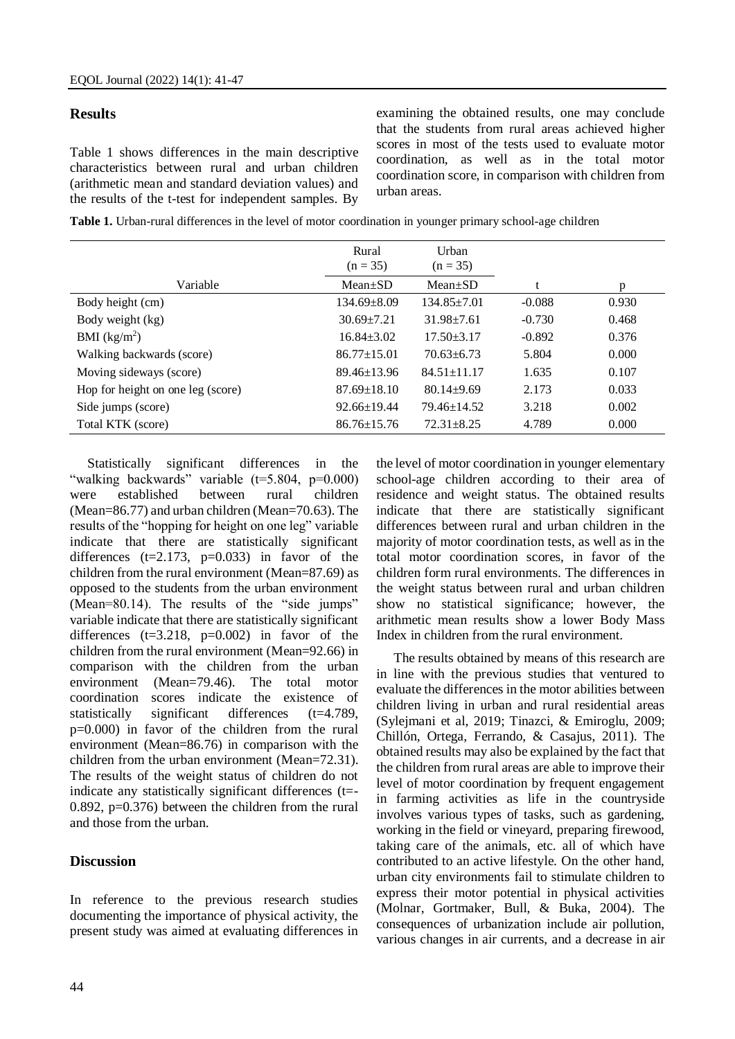#### **Results**

Table 1 shows differences in the main descriptive characteristics between rural and urban children (arithmetic mean and standard deviation values) and the results of the t-test for independent samples. By examining the obtained results, one may conclude that the students from rural areas achieved higher scores in most of the tests used to evaluate motor coordination, as well as in the total motor coordination score, in comparison with children from urban areas.

|                                   | Rural<br>$(n = 35)$ | Urban<br>$(n = 35)$ |          |       |
|-----------------------------------|---------------------|---------------------|----------|-------|
| Variable                          | $Mean \pm SD$       | $Mean \pm SD$       | t        | p     |
| Body height (cm)                  | $134.69 + 8.09$     | $134.85 \pm 7.01$   | $-0.088$ | 0.930 |
| Body weight (kg)                  | $30.69 \pm 7.21$    | $31.98 \pm 7.61$    | $-0.730$ | 0.468 |
| BMI $(kg/m2)$                     | $16.84 \pm 3.02$    | $17.50 + 3.17$      | $-0.892$ | 0.376 |
| Walking backwards (score)         | $86.77 \pm 15.01$   | $70.63 \pm 6.73$    | 5.804    | 0.000 |
| Moving sideways (score)           | $89.46 \pm 13.96$   | $84.51 \pm 11.17$   | 1.635    | 0.107 |
| Hop for height on one leg (score) | $87.69 \pm 18.10$   | $80.14 + 9.69$      | 2.173    | 0.033 |
| Side jumps (score)                | $92.66 \pm 19.44$   | $79.46 \pm 14.52$   | 3.218    | 0.002 |
| Total KTK (score)                 | $86.76 \pm 15.76$   | $72.31 \pm 8.25$    | 4.789    | 0.000 |

Statistically significant differences in the "walking backwards" variable (t=5.804, p=0.000) were established between rural children (Mean=86.77) and urban children (Mean=70.63). The results of the "hopping for height on one leg" variable indicate that there are statistically significant differences  $(t=2.173, p=0.033)$  in favor of the children from the rural environment (Mean=87.69) as opposed to the students from the urban environment (Mean=80.14). The results of the "side jumps" variable indicate that there are statistically significant differences  $(t=3.218, p=0.002)$  in favor of the children from the rural environment (Mean=92.66) in comparison with the children from the urban environment (Mean=79.46). The total motor coordination scores indicate the existence of statistically significant differences (t=4.789, p=0.000) in favor of the children from the rural environment (Mean=86.76) in comparison with the children from the urban environment (Mean=72.31). The results of the weight status of children do not indicate any statistically significant differences (t=- 0.892, p=0.376) between the children from the rural and those from the urban.

## **Discussion**

In reference to the previous research studies documenting the importance of physical activity, the present study was aimed at evaluating differences in

the level of motor coordination in younger elementary school-age children according to their area of residence and weight status. The obtained results indicate that there are statistically significant differences between rural and urban children in the majority of motor coordination tests, as well as in the total motor coordination scores, in favor of the children form rural environments. The differences in the weight status between rural and urban children show no statistical significance; however, the arithmetic mean results show a lower Body Mass Index in children from the rural environment.

The results obtained by means of this research are in line with the previous studies that ventured to evaluate the differences in the motor abilities between children living in urban and rural residential areas (Sylejmani et al, 2019; Tinazci, & Emiroglu, 2009; Chillón, Ortega, Ferrando, & Casajus, 2011). The obtained results may also be explained by the fact that the children from rural areas are able to improve their level of motor coordination by frequent engagement in farming activities as life in the countryside involves various types of tasks, such as gardening, working in the field or vineyard, preparing firewood, taking care of the animals, etc. all of which have contributed to an active lifestyle. On the other hand, urban city environments fail to stimulate children to express their motor potential in physical activities (Molnar, Gortmaker, Bull, & Buka, 2004). The consequences of urbanization include air pollution, various changes in air currents, and a decrease in air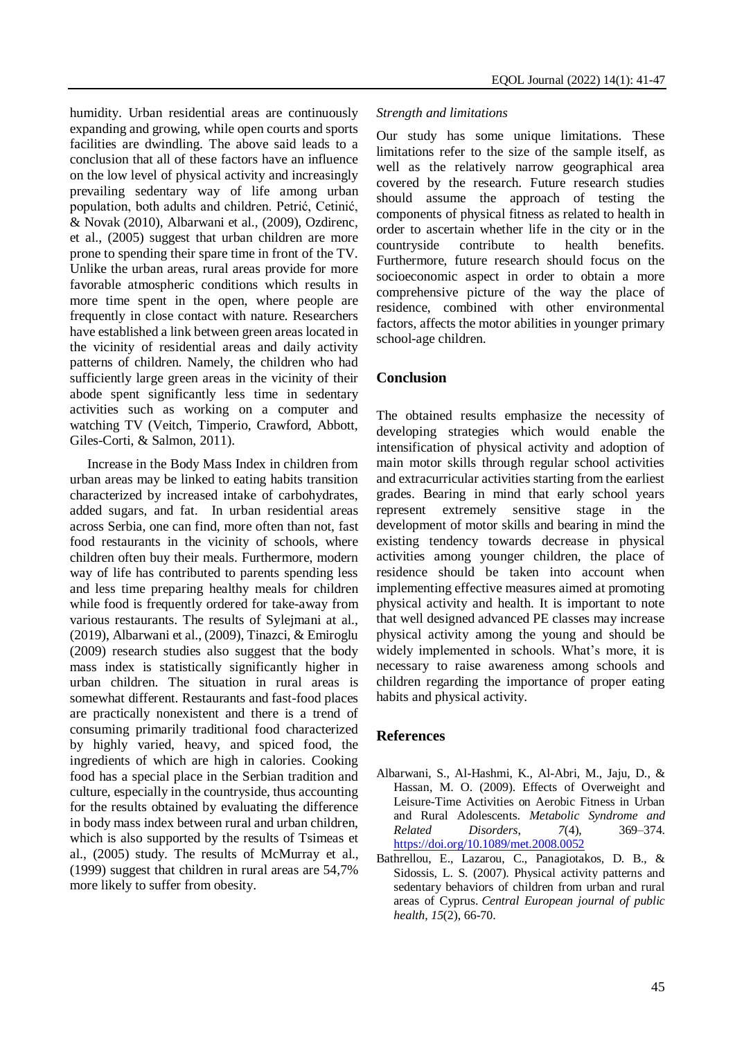humidity. Urban residential areas are continuously expanding and growing, while open courts and sports facilities are dwindling. The above said leads to a conclusion that all of these factors have an influence on the low level of physical activity and increasingly prevailing sedentary way of life among urban population, both adults and children. Petrić, Cetinić, & Novak (2010), Albarwani et al., (2009), Ozdirenc, et al., (2005) suggest that urban children are more prone to spending their spare time in front of the TV. Unlike the urban areas, rural areas provide for more favorable atmospheric conditions which results in more time spent in the open, where people are frequently in close contact with nature. Researchers have established a link between green areas located in the vicinity of residential areas and daily activity patterns of children. Namely, the children who had sufficiently large green areas in the vicinity of their abode spent significantly less time in sedentary activities such as working on a computer and watching TV (Veitch, Timperio, Crawford, Abbott, Giles-Corti, & Salmon, 2011).

Increase in the Body Mass Index in children from urban areas may be linked to eating habits transition characterized by increased intake of carbohydrates, added sugars, and fat. In urban residential areas across Serbia, one can find, more often than not, fast food restaurants in the vicinity of schools, where children often buy their meals. Furthermore, modern way of life has contributed to parents spending less and less time preparing healthy meals for children while food is frequently ordered for take-away from various restaurants. The results of Sylejmani at al., (2019), Albarwani et al., (2009), Tinazci, & Emiroglu (2009) research studies also suggest that the body mass index is statistically significantly higher in urban children. The situation in rural areas is somewhat different. Restaurants and fast-food places are practically nonexistent and there is a trend of consuming primarily traditional food characterized by highly varied, heavy, and spiced food, the ingredients of which are high in calories. Cooking food has a special place in the Serbian tradition and culture, especially in the countryside, thus accounting for the results obtained by evaluating the difference in body mass index between rural and urban children, which is also supported by the results of Tsimeas et al., (2005) study. The results of McMurray et al., (1999) suggest that children in rural areas are 54,7% more likely to suffer from obesity.

#### *Strength and limitations*

Our study has some unique limitations. These limitations refer to the size of the sample itself, as well as the relatively narrow geographical area covered by the research. Future research studies should assume the approach of testing the components of physical fitness as related to health in order to ascertain whether life in the city or in the countryside contribute to health benefits. Furthermore, future research should focus on the socioeconomic aspect in order to obtain a more comprehensive picture of the way the place of residence, combined with other environmental factors, affects the motor abilities in younger primary school-age children.

## **Conclusion**

The obtained results emphasize the necessity of developing strategies which would enable the intensification of physical activity and adoption of main motor skills through regular school activities and extracurricular activities starting from the earliest grades. Bearing in mind that early school years represent extremely sensitive stage in the development of motor skills and bearing in mind the existing tendency towards decrease in physical activities among younger children, the place of residence should be taken into account when implementing effective measures aimed at promoting physical activity and health. It is important to note that well designed advanced PE classes may increase physical activity among the young and should be widely implemented in schools. What's more, it is necessary to raise awareness among schools and children regarding the importance of proper eating habits and physical activity.

#### **References**

- Albarwani, S., Al-Hashmi, K., Al-Abri, M., Jaju, D., & Hassan, M. O. (2009). Effects of Overweight and Leisure-Time Activities on Aerobic Fitness in Urban and Rural Adolescents. *Metabolic Syndrome and Related Disorders*, *7*(4), 369–374. <https://doi.org/10.1089/met.2008.0052>
- Bathrellou, E., Lazarou, C., Panagiotakos, D. B., & Sidossis, L. S. (2007). Physical activity patterns and sedentary behaviors of children from urban and rural areas of Cyprus. *Central European journal of public health*, *15*(2), 66-70.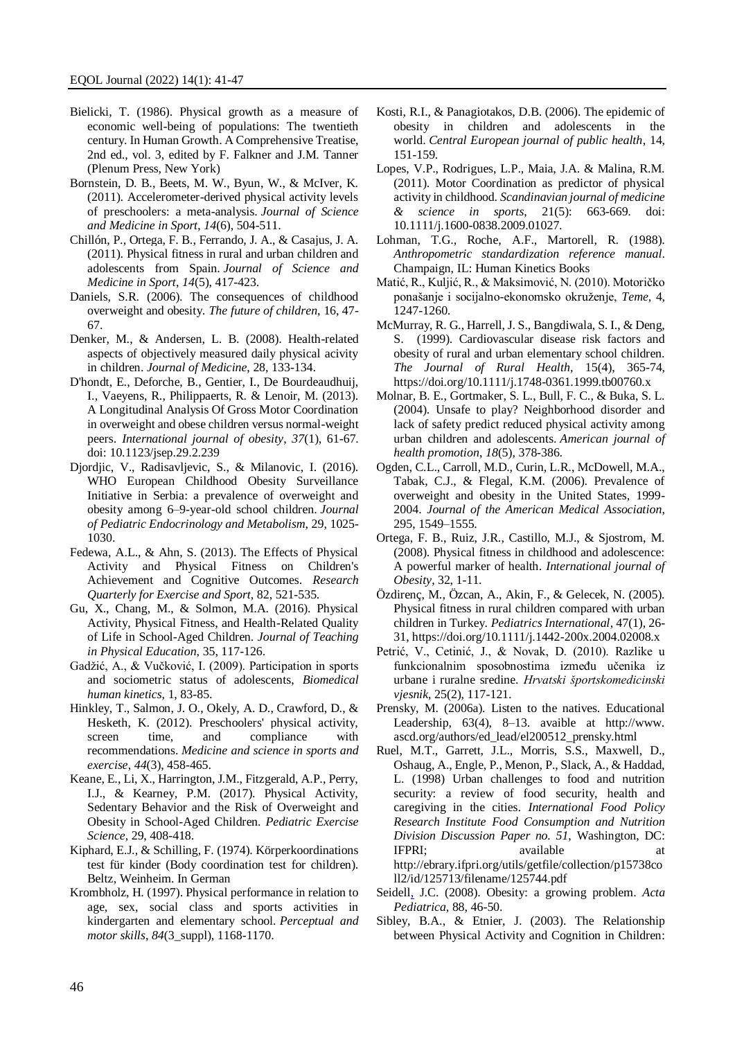- Bielicki, T. (1986). Physical growth as a measure of economic well-being of populations: The twentieth century. In Human Growth. A Comprehensive Treatise, 2nd ed., vol. 3, edited by F. Falkner and J.M. Tanner (Plenum Press, New York)
- Bornstein, D. B., Beets, M. W., Byun, W., & McIver, K. (2011). Accelerometer-derived physical activity levels of preschoolers: a meta-analysis. *Journal of Science and Medicine in Sport*, *14*(6), 504-511.
- Chillón, P., Ortega, F. B., Ferrando, J. A., & Casajus, J. A. (2011). Physical fitness in rural and urban children and adolescents from Spain. *Journal of Science and Medicine in Sport*, *14*(5), 417-423.
- Daniels, S.R. (2006). The consequences of childhood overweight and obesity. *The future of children*, 16, 47- 67.
- Denker, M., & Andersen, L. B. (2008). Health-related aspects of objectively measured daily physical acivity in children. *Journal of Medicine*, 28, 133-134.
- D'hondt, E., Deforche, B., Gentier, I., De Bourdeaudhuij, I., Vaeyens, R., Philippaerts, R. & Lenoir, M. (2013). A Longitudinal Analysis Of Gross Motor Coordination in overweight and obese children versus normal-weight peers. *International journal of obesity*, *37*(1), 61-67. doi: 10.1123/jsep.29.2.239
- Djordjic, V., Radisavljevic, S., & Milanovic, I. (2016). WHO European Childhood Obesity Surveillance Initiative in Serbia: a prevalence of overweight and obesity among 6–9-year-old school children. *Journal of Pediatric Endocrinology and Metabolism*, 29, 1025- 1030.
- Fedewa, A.L., & Ahn, S. (2013). The Effects of Physical Activity and Physical Fitness on Children's Achievement and Cognitive Outcomes. *Research Quarterly for Exercise and Sport*, 82, 521-535.
- Gu, X., Chang, M., & Solmon, M.A. (2016). Physical Activity, Physical Fitness, and Health-Related Quality of Life in School-Aged Children. *Journal of Teaching in Physical Education*, 35, 117-126.
- Gadžić, A., & Vučković, I. (2009). Participation in sports and sociometric status of adolescents, *Biomedical human kinetics*, 1, 83-85.
- Hinkley, T., Salmon, J. O., Okely, A. D., Crawford, D., & Hesketh, K. (2012). Preschoolers' physical activity, screen time, and compliance with recommendations. *Medicine and science in sports and exercise*, *44*(3), 458-465.
- Keane, E., Li, X., Harrington, J.M., Fitzgerald, A.P., Perry, I.J., & Kearney, P.M. (2017). Physical Activity, Sedentary Behavior and the Risk of Overweight and Obesity in School-Aged Children. *Pediatric Exercise Science*, 29, 408-418.
- Kiphard, E.J., & Schilling, F. (1974). Körperkoordinations test für kinder (Body coordination test for children). Beltz, Weinheim. In German
- Krombholz, H. (1997). Physical performance in relation to age, sex, social class and sports activities in kindergarten and elementary school. *Perceptual and motor skills*, *84*(3\_suppl), 1168-1170.
- Kosti, R.I., & Panagiotakos, D.B. (2006). The epidemic of obesity in children and adolescents in the world. *Central European journal of public health*, 14, 151-159.
- Lopes, V.P., Rodrigues, L.P., Maia, J.A. & Malina, R.M. (2011). Motor Coordination as predictor of physical activity in childhood. *Scandinavian journal of medicine & science in sports*, 21(5): 663-669. doi: 10.1111/j.1600-0838.2009.01027.
- Lohman, T.G., Roche, A.F., Martorell, R. (1988). *Anthropometric standardization reference manual*. Champaign, IL: Human Kinetics Books
- Matić, R., Kuljić, R., & Maksimović, N. (2010). Motoričko ponašanje i socijalno-ekonomsko okruženje, *Teme*, 4, 1247-1260.
- McMurray, R. G., Harrell, J. S., Bangdiwala, S. I., & Deng, S. (1999). Cardiovascular disease risk factors and obesity of rural and urban elementary school children. *The Journal of Rural Health*, 15(4), 365-74, https://doi.org/10.1111/j.1748-0361.1999.tb00760.x
- Molnar, B. E., Gortmaker, S. L., Bull, F. C., & Buka, S. L. (2004). Unsafe to play? Neighborhood disorder and lack of safety predict reduced physical activity among urban children and adolescents. *American journal of health promotion*, *18*(5), 378-386.
- Ogden, C.L., Carroll, M.D., Curin, L.R., McDowell, M.A., Tabak, C.J., & Flegal, K.M. (2006). Prevalence of overweight and obesity in the United States, 1999- 2004. *Journal of the American Medical Association*, 295, 1549–1555.
- Ortega, F. B., Ruiz, J.R., Castillo, M.J., & Sjostrom, M. (2008). Physical fitness in childhood and adolescence: A powerful marker of health. *International journal of Obesity*, 32, 1-11.
- Özdirenç, M., Özcan, A., Akin, F., & Gelecek, N. (2005). Physical fitness in rural children compared with urban children in Turkey. *Pediatrics International*, 47(1), 26- 31, https://doi.org/10.1111/j.1442-200x.2004.02008.x
- Petrić, V., Cetinić, J., & Novak, D. (2010). Razlike u funkcionalnim sposobnostima između učenika iz urbane i ruralne sredine. *Hrvatski športskomedicinski vjesnik*, 25(2), 117-121.
- Prensky, M. (2006a). Listen to the natives. Educational Leadership, 63(4), 8–13. avaible at http://www. ascd.org/authors/ed\_lead/el200512\_prensky.html
- Ruel, M.T., Garrett, J.L., Morris, S.S., Maxwell, D., Oshaug, A., Engle, P., Menon, P., Slack, A., & Haddad, L. (1998) Urban challenges to food and nutrition security: a review of food security, health and caregiving in the cities. *International Food Policy Research Institute Food Consumption and Nutrition Division Discussion Paper no. 51*, Washington, DC: IFPRI; available at a state at a state at a state and a state at a state at a state at a state at a state at a state at a state at a state at a state at a state at a state at a state at a state at a state at a state at a s http://ebrary.ifpri.org/utils/getfile/collection/p15738co ll2/id/125713/filename/125744.pdf
- [Seidell,](https://onlinelibrary.wiley.com/action/doSearch?ContribAuthorStored=Seidell%2C+JC) J.C. (2008). Obesity: a growing problem. *Acta Pediatrica*, 88, 46-50.
- Sibley, B.A., & Etnier, J. (2003). The Relationship between Physical Activity and Cognition in Children: